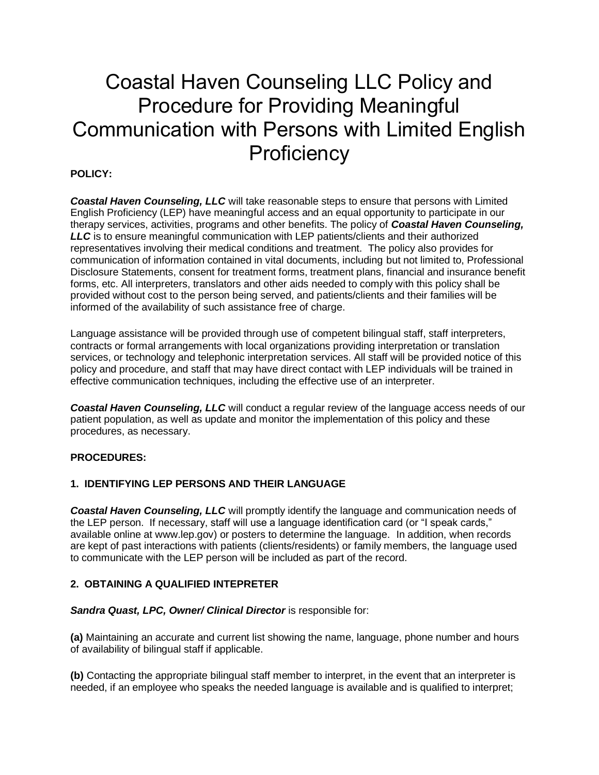# Coastal Haven Counseling LLC Policy and Procedure for Providing Meaningful Communication with Persons with Limited English **Proficiency**

# **POLICY:**

*Coastal Haven Counseling, LLC* will take reasonable steps to ensure that persons with Limited English Proficiency (LEP) have meaningful access and an equal opportunity to participate in our therapy services, activities, programs and other benefits. The policy of *Coastal Haven Counseling, LLC* is to ensure meaningful communication with LEP patients/clients and their authorized representatives involving their medical conditions and treatment. The policy also provides for communication of information contained in vital documents, including but not limited to, Professional Disclosure Statements, consent for treatment forms, treatment plans, financial and insurance benefit forms, etc. All interpreters, translators and other aids needed to comply with this policy shall be provided without cost to the person being served, and patients/clients and their families will be informed of the availability of such assistance free of charge.

Language assistance will be provided through use of competent bilingual staff, staff interpreters, contracts or formal arrangements with local organizations providing interpretation or translation services, or technology and telephonic interpretation services. All staff will be provided notice of this policy and procedure, and staff that may have direct contact with LEP individuals will be trained in effective communication techniques, including the effective use of an interpreter.

*Coastal Haven Counseling, LLC* will conduct a regular review of the language access needs of our patient population, as well as update and monitor the implementation of this policy and these procedures, as necessary.

### **PROCEDURES:**

### **1. IDENTIFYING LEP PERSONS AND THEIR LANGUAGE**

*Coastal Haven Counseling, LLC* will promptly identify the language and communication needs of the LEP person. If necessary, staff will use a language identification card (or "I speak cards," available online at www.lep.gov) or posters to determine the language. In addition, when records are kept of past interactions with patients (clients/residents) or family members, the language used to communicate with the LEP person will be included as part of the record.

### **2. OBTAINING A QUALIFIED INTEPRETER**

#### **Sandra Quast, LPC, Owner/ Clinical Director is responsible for:**

**(a)** Maintaining an accurate and current list showing the name, language, phone number and hours of availability of bilingual staff if applicable.

**(b)** Contacting the appropriate bilingual staff member to interpret, in the event that an interpreter is needed, if an employee who speaks the needed language is available and is qualified to interpret;